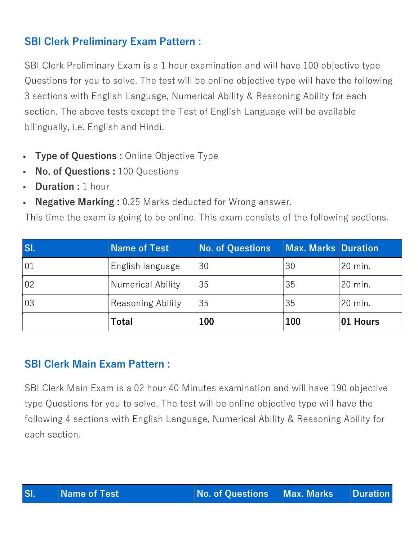# **SBI Clerk Preliminary Exam Pattern :**

SBI Clerk Preliminary Exam is a 1 hour examination and will have 100 objective type Questions for you to solve. The test will be online objective type will have the following 3 sections with English Language, Numerical Ability & Reasoning Ability for each section. The above tests except the Test of English Language will be available bilingually, i.e. English and Hindi.

- **Type of Questions :** Online Objective Type
- **No. of Questions : 100 Questions**
- **Duration :** 1 hour
- **Negative Marking :** 0.25 Marks deducted for Wrong answer.

This time the exam is going to be online. This exam consists of the following sections.

| SI. | <b>Name of Test</b>      | <b>No. of Questions</b> | <b>Max. Marks Duration</b> |          |
|-----|--------------------------|-------------------------|----------------------------|----------|
| 01  | English language         | 30                      | 30                         | 20 min.  |
| 02  | Numerical Ability        | 35                      | 35                         | 20 min.  |
| 03  | <b>Reasoning Ability</b> | 35                      | 35                         | 20 min.  |
|     | <b>Total</b>             | 100                     | 100                        | 01 Hours |

## **SBI Clerk Main Exam Pattern :**

SBI Clerk Main Exam is a 02 hour 40 Minutes examination and will have 190 objective type Questions for you to solve. The test will be online objective type will have the following 4 sections with English Language, Numerical Ability & Reasoning Ability for each section.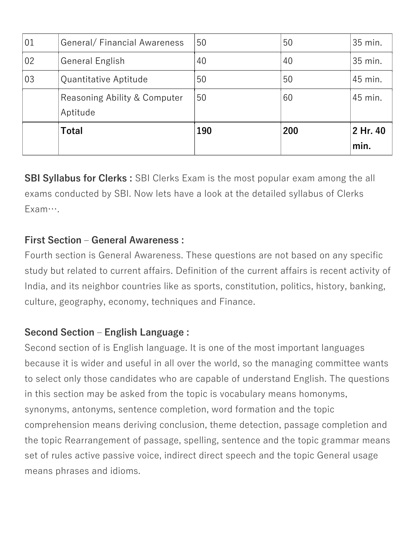| 01 | General/Financial Awareness  | 50  | 50  | 35 min.  |
|----|------------------------------|-----|-----|----------|
| 02 | General English              | 40  | 40  | 35 min.  |
| 03 | Quantitative Aptitude        | 50  | 50  | 45 min.  |
|    | Reasoning Ability & Computer | 50  | 60  | 45 min.  |
|    | Aptitude                     |     |     |          |
|    | Total                        | 190 | 200 | 2 Hr. 40 |
|    |                              |     |     | min.     |

**SBI Syllabus for Clerks :** SBI Clerks Exam is the most popular exam among the all exams conducted by SBI. Now lets have a look at the detailed syllabus of Clerks Exam….

#### **First Section – General Awareness :**

Fourth section is General Awareness. These questions are not based on any specific study but related to current affairs. Definition of the current affairs is recent activity of India, and its neighbor countries like as sports, constitution, politics, history, banking, culture, geography, economy, techniques and Finance.

## **Second Section – English Language :**

Second section of is English language. It is one of the most important languages because it is wider and useful in all over the world, so the managing committee wants to select only those candidates who are capable of understand English. The questions in this section may be asked from the topic is vocabulary means homonyms, synonyms, antonyms, sentence completion, word formation and the topic comprehension means deriving conclusion, theme detection, passage completion and the topic Rearrangement of passage, spelling, sentence and the topic grammar means set of rules active passive voice, indirect direct speech and the topic General usage means phrases and idioms.